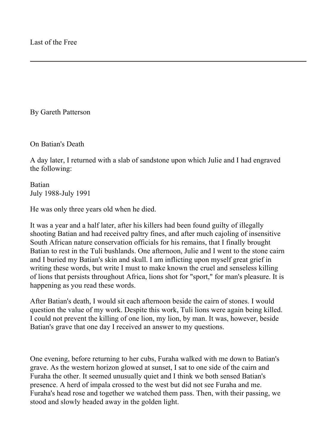By Gareth Patterson

On Batian's Death

A day later, I returned with a slab of sandstone upon which Julie and I had engraved the following:

Batian July 1988-July 1991

He was only three years old when he died.

It was a year and a half later, after his killers had been found guilty of illegally shooting Batian and had received paltry fines, and after much cajoling of insensitive South African nature conservation officials for his remains, that I finally brought Batian to rest in the Tuli bushlands. One afternoon, Julie and I went to the stone cairn and I buried my Batian's skin and skull. I am inflicting upon myself great grief in writing these words, but write I must to make known the cruel and senseless killing of lions that persists throughout Africa, lions shot for "sport," for man's pleasure. It is happening as you read these words.

After Batian's death, I would sit each afternoon beside the cairn of stones. I would question the value of my work. Despite this work, Tuli lions were again being killed. I could not prevent the killing of one lion, my lion, by man. It was, however, beside Batian's grave that one day I received an answer to my questions.

One evening, before returning to her cubs, Furaha walked with me down to Batian's grave. As the western horizon glowed at sunset, I sat to one side of the cairn and Furaha the other. It seemed unusually quiet and I think we both sensed Batian's presence. A herd of impala crossed to the west but did not see Furaha and me. Furaha's head rose and together we watched them pass. Then, with their passing, we stood and slowly headed away in the golden light.